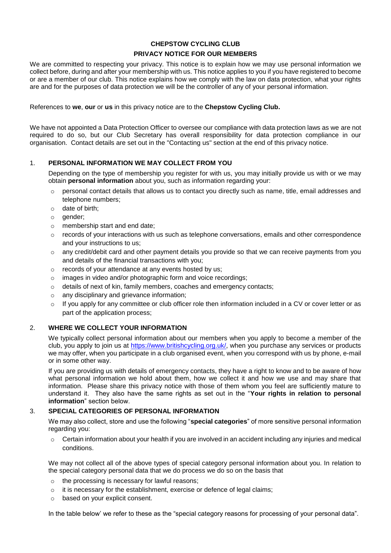# **CHEPSTOW CYCLING CLUB PRIVACY NOTICE FOR OUR MEMBERS**

We are committed to respecting your privacy. This notice is to explain how we may use personal information we collect before, during and after your membership with us. This notice applies to you if you have registered to become or are a member of our club. This notice explains how we comply with the law on data protection, what your rights are and for the purposes of data protection we will be the controller of any of your personal information.

#### References to **we**, **our** or **us** in this privacy notice are to the **Chepstow Cycling Club.**

We have not appointed a Data Protection Officer to oversee our compliance with data protection laws as we are not required to do so, but our Club Secretary has overall responsibility for data protection compliance in our organisation. Contact details are set out in the "Contacting us" section at the end of this privacy notice.

### 1. **PERSONAL INFORMATION WE MAY COLLECT FROM YOU**

Depending on the type of membership you register for with us, you may initially provide us with or we may obtain **personal information** about you, such as information regarding your:

- $\circ$  personal contact details that allows us to contact you directly such as name, title, email addresses and telephone numbers;
- o date of birth;
- o gender;
- o membership start and end date;
- $\circ$  records of your interactions with us such as telephone conversations, emails and other correspondence and your instructions to us;
- $\circ$  any credit/debit card and other payment details you provide so that we can receive payments from you and details of the financial transactions with you;
- o records of your attendance at any events hosted by us;
- o images in video and/or photographic form and voice recordings;
- o details of next of kin, family members, coaches and emergency contacts;
- o any disciplinary and grievance information;
- $\circ$  If you apply for any committee or club officer role then information included in a CV or cover letter or as part of the application process;

### 2. **WHERE WE COLLECT YOUR INFORMATION**

We typically collect personal information about our members when you apply to become a member of the club, you apply to join us at [https://www.britishcycling.org.uk/,](https://www.britishcycling.org.uk/) when you purchase any services or products we may offer, when you participate in a club organised event, when you correspond with us by phone, e-mail or in some other way.

If you are providing us with details of emergency contacts, they have a right to know and to be aware of how what personal information we hold about them, how we collect it and how we use and may share that information. Please share this privacy notice with those of them whom you feel are sufficiently mature to understand it. They also have the same rights as set out in the "**Your rights in relation to personal information**" section below.

### 3. **SPECIAL CATEGORIES OF PERSONAL INFORMATION**

We may also collect, store and use the following "**special categories**" of more sensitive personal information regarding you:

 $\circ$  Certain information about your health if you are involved in an accident including any injuries and medical conditions.

We may not collect all of the above types of special category personal information about you. In relation to the special category personal data that we do process we do so on the basis that

- the processing is necessary for lawful reasons;
- o it is necessary for the establishment, exercise or defence of legal claims;
- o based on your explicit consent.

In the table below' we refer to these as the "special category reasons for processing of your personal data".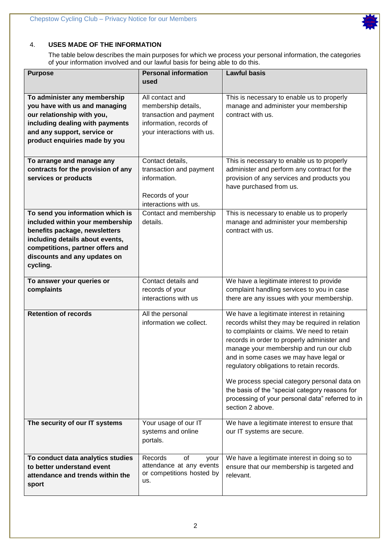

The table below describes the main purposes for which we process your personal information, the categories of your information involved and our lawful basis for being able to do this.

| <b>Purpose</b>                                                   | <b>Personal information</b>            | <b>Lawful basis</b>                                                                 |
|------------------------------------------------------------------|----------------------------------------|-------------------------------------------------------------------------------------|
|                                                                  | used                                   |                                                                                     |
| To administer any membership<br>you have with us and managing    | All contact and<br>membership details, | This is necessary to enable us to properly<br>manage and administer your membership |
| our relationship with you,                                       | transaction and payment                | contract with us.                                                                   |
| including dealing with payments                                  | information, records of                |                                                                                     |
| and any support, service or                                      | your interactions with us.             |                                                                                     |
| product enquiries made by you                                    |                                        |                                                                                     |
|                                                                  |                                        |                                                                                     |
| To arrange and manage any                                        | Contact details,                       | This is necessary to enable us to properly                                          |
| contracts for the provision of any                               | transaction and payment                | administer and perform any contract for the                                         |
| services or products                                             | information.                           | provision of any services and products you                                          |
|                                                                  |                                        | have purchased from us.                                                             |
|                                                                  | Records of your                        |                                                                                     |
|                                                                  | interactions with us.                  |                                                                                     |
| To send you information which is                                 | Contact and membership                 | This is necessary to enable us to properly                                          |
| included within your membership<br>benefits package, newsletters | details.                               | manage and administer your membership<br>contract with us.                          |
| including details about events,                                  |                                        |                                                                                     |
| competitions, partner offers and                                 |                                        |                                                                                     |
| discounts and any updates on                                     |                                        |                                                                                     |
| cycling.                                                         |                                        |                                                                                     |
|                                                                  |                                        |                                                                                     |
| To answer your queries or                                        | Contact details and                    | We have a legitimate interest to provide                                            |
| complaints                                                       | records of your                        | complaint handling services to you in case                                          |
|                                                                  | interactions with us                   | there are any issues with your membership.                                          |
| <b>Retention of records</b>                                      | All the personal                       | We have a legitimate interest in retaining                                          |
|                                                                  | information we collect.                | records whilst they may be required in relation                                     |
|                                                                  |                                        | to complaints or claims. We need to retain                                          |
|                                                                  |                                        | records in order to properly administer and                                         |
|                                                                  |                                        | manage your membership and run our club<br>and in some cases we may have legal or   |
|                                                                  |                                        | regulatory obligations to retain records.                                           |
|                                                                  |                                        |                                                                                     |
|                                                                  |                                        | We process special category personal data on                                        |
|                                                                  |                                        | the basis of the "special category reasons for                                      |
|                                                                  |                                        | processing of your personal data" referred to in                                    |
|                                                                  |                                        | section 2 above.                                                                    |
| The security of our IT systems                                   | Your usage of our IT                   | We have a legitimate interest to ensure that                                        |
|                                                                  | systems and online                     | our IT systems are secure.                                                          |
|                                                                  | portals.                               |                                                                                     |
|                                                                  |                                        |                                                                                     |
| To conduct data analytics studies                                | Records<br>of<br>your                  | We have a legitimate interest in doing so to                                        |
| to better understand event                                       | attendance at any events               | ensure that our membership is targeted and                                          |
| attendance and trends within the                                 | or competitions hosted by<br>us.       | relevant.                                                                           |
| sport                                                            |                                        |                                                                                     |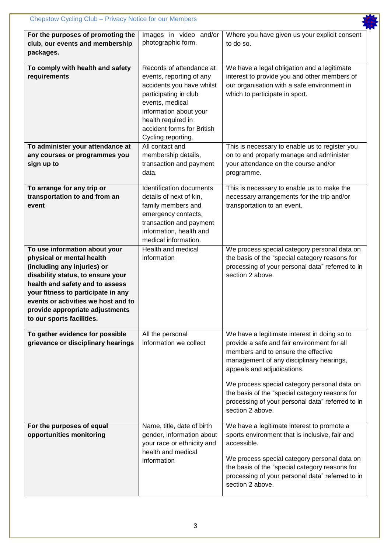| For the purposes of promoting the<br>club, our events and membership<br>packages.                                                                                                                                                                                                                              | Images in video and/or<br>photographic form.                                                                                                                                                                                      | Where you have given us your explicit consent<br>to do so.                                                                                                                                                                                                                                                                                                                             |
|----------------------------------------------------------------------------------------------------------------------------------------------------------------------------------------------------------------------------------------------------------------------------------------------------------------|-----------------------------------------------------------------------------------------------------------------------------------------------------------------------------------------------------------------------------------|----------------------------------------------------------------------------------------------------------------------------------------------------------------------------------------------------------------------------------------------------------------------------------------------------------------------------------------------------------------------------------------|
| To comply with health and safety<br>requirements                                                                                                                                                                                                                                                               | Records of attendance at<br>events, reporting of any<br>accidents you have whilst<br>participating in club<br>events, medical<br>information about your<br>health required in<br>accident forms for British<br>Cycling reporting. | We have a legal obligation and a legitimate<br>interest to provide you and other members of<br>our organisation with a safe environment in<br>which to participate in sport.                                                                                                                                                                                                           |
| To administer your attendance at<br>any courses or programmes you<br>sign up to                                                                                                                                                                                                                                | All contact and<br>membership details,<br>transaction and payment<br>data.                                                                                                                                                        | This is necessary to enable us to register you<br>on to and properly manage and administer<br>your attendance on the course and/or<br>programme.                                                                                                                                                                                                                                       |
| To arrange for any trip or<br>transportation to and from an<br>event                                                                                                                                                                                                                                           | <b>Identification documents</b><br>details of next of kin,<br>family members and<br>emergency contacts,<br>transaction and payment<br>information, health and<br>medical information.                                             | This is necessary to enable us to make the<br>necessary arrangements for the trip and/or<br>transportation to an event.                                                                                                                                                                                                                                                                |
| To use information about your<br>physical or mental health<br>(including any injuries) or<br>disability status, to ensure your<br>health and safety and to assess<br>your fitness to participate in any<br>events or activities we host and to<br>provide appropriate adjustments<br>to our sports facilities. | Health and medical<br>information                                                                                                                                                                                                 | We process special category personal data on<br>the basis of the "special category reasons for<br>processing of your personal data" referred to in<br>section 2 above.                                                                                                                                                                                                                 |
| To gather evidence for possible<br>grievance or disciplinary hearings                                                                                                                                                                                                                                          | All the personal<br>information we collect                                                                                                                                                                                        | We have a legitimate interest in doing so to<br>provide a safe and fair environment for all<br>members and to ensure the effective<br>management of any disciplinary hearings,<br>appeals and adjudications.<br>We process special category personal data on<br>the basis of the "special category reasons for<br>processing of your personal data" referred to in<br>section 2 above. |
| For the purposes of equal<br>opportunities monitoring                                                                                                                                                                                                                                                          | Name, title, date of birth<br>gender, information about<br>your race or ethnicity and<br>health and medical<br>information                                                                                                        | We have a legitimate interest to promote a<br>sports environment that is inclusive, fair and<br>accessible.<br>We process special category personal data on<br>the basis of the "special category reasons for<br>processing of your personal data" referred to in<br>section 2 above.                                                                                                  |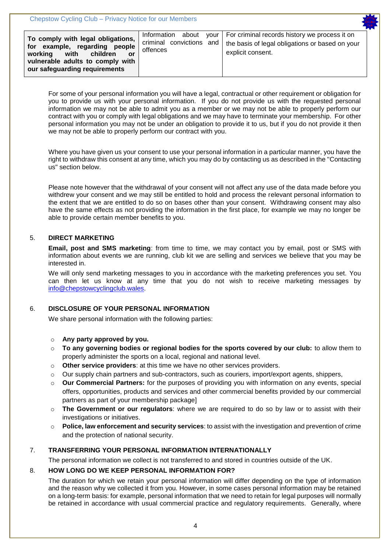| To comply with legal obligations,<br>for example, regarding people<br>with<br>children<br>working<br>or<br>vulnerable adults to comply with<br>our safeguarding requirements | about<br>Information<br>criminal convictions and<br>offences | your   For criminal records history we process it on<br>the basis of legal obligations or based on your<br>explicit consent. |
|------------------------------------------------------------------------------------------------------------------------------------------------------------------------------|--------------------------------------------------------------|------------------------------------------------------------------------------------------------------------------------------|
|------------------------------------------------------------------------------------------------------------------------------------------------------------------------------|--------------------------------------------------------------|------------------------------------------------------------------------------------------------------------------------------|

For some of your personal information you will have a legal, contractual or other requirement or obligation for you to provide us with your personal information. If you do not provide us with the requested personal information we may not be able to admit you as a member or we may not be able to properly perform our contract with you or comply with legal obligations and we may have to terminate your membership. For other personal information you may not be under an obligation to provide it to us, but if you do not provide it then we may not be able to properly perform our contract with you.

Where you have given us your consent to use your personal information in a particular manner, you have the right to withdraw this consent at any time, which you may do by contacting us as described in the "Contacting us" section below.

Please note however that the withdrawal of your consent will not affect any use of the data made before you withdrew your consent and we may still be entitled to hold and process the relevant personal information to the extent that we are entitled to do so on bases other than your consent. Withdrawing consent may also have the same effects as not providing the information in the first place, for example we may no longer be able to provide certain member benefits to you.

### 5. **DIRECT MARKETING**

**Email, post and SMS marketing**: from time to time, we may contact you by email, post or SMS with information about events we are running, club kit we are selling and services we believe that you may be interested in.

We will only send marketing messages to you in accordance with the marketing preferences you set. You can then let us know at any time that you do not wish to receive marketing messages by [info@chepstowcyclingclub.wales.](mailto:info@chepstowcyclingclub.wales)

## 6. **DISCLOSURE OF YOUR PERSONAL INFORMATION**

We share personal information with the following parties:

### o **Any party approved by you.**

- o **To any governing bodies or regional bodies for the sports covered by our club:** to allow them to properly administer the sports on a local, regional and national level.
- o **Other service providers**: at this time we have no other services providers.
- $\circ$  Our supply chain partners and sub-contractors, such as couriers, import/export agents, shippers,
- o **Our Commercial Partners:** for the purposes of providing you with information on any events, special offers, opportunities, products and services and other commercial benefits provided by our commercial partners as part of your membership package]
- The Government or our requiators: where we are required to do so by law or to assist with their investigations or initiatives.
- o **Police, law enforcement and security services**: to assist with the investigation and prevention of crime and the protection of national security.

## 7. **TRANSFERRING YOUR PERSONAL INFORMATION INTERNATIONALLY**

The personal information we collect is not transferred to and stored in countries outside of the UK.

### 8. **HOW LONG DO WE KEEP PERSONAL INFORMATION FOR?**

The duration for which we retain your personal information will differ depending on the type of information and the reason why we collected it from you. However, in some cases personal information may be retained on a long-term basis: for example, personal information that we need to retain for legal purposes will normally be retained in accordance with usual commercial practice and regulatory requirements. Generally, where